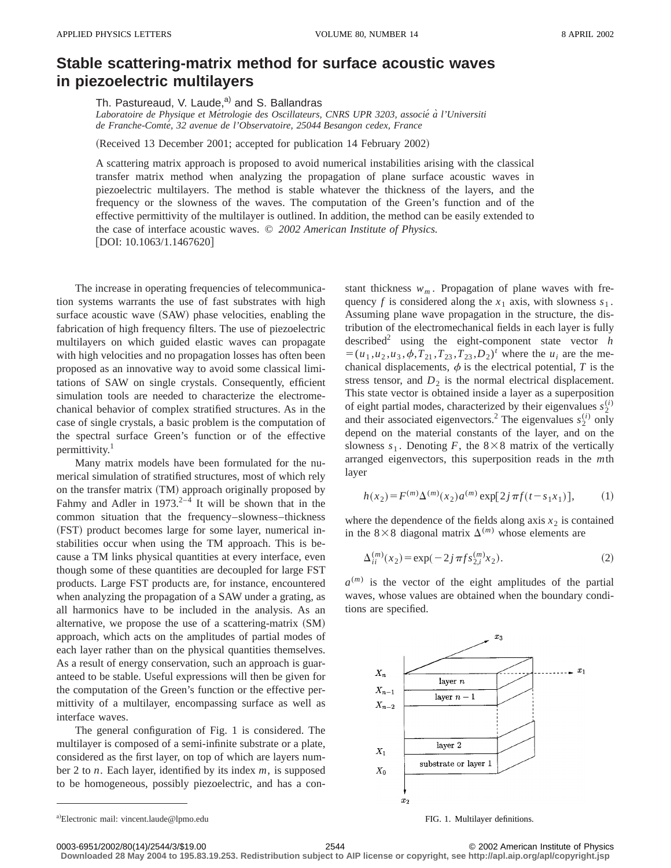## **Stable scattering-matrix method for surface acoustic waves in piezoelectric multilayers**

Th. Pastureaud, V. Laude,<sup>a)</sup> and S. Ballandras

*Laboratoire de Physique et Me´trologie des Oscillateurs, CNRS UPR 3203, associe´ a` l'Universiti de Franche-Comte´, 32 avenue de l'Observatoire, 25044 Besangon cedex, France*

(Received 13 December 2001; accepted for publication 14 February 2002)

A scattering matrix approach is proposed to avoid numerical instabilities arising with the classical transfer matrix method when analyzing the propagation of plane surface acoustic waves in piezoelectric multilayers. The method is stable whatever the thickness of the layers, and the frequency or the slowness of the waves. The computation of the Green's function and of the effective permittivity of the multilayer is outlined. In addition, the method can be easily extended to the case of interface acoustic waves. © *2002 American Institute of Physics.* [DOI: 10.1063/1.1467620]

The increase in operating frequencies of telecommunication systems warrants the use of fast substrates with high surface acoustic wave (SAW) phase velocities, enabling the fabrication of high frequency filters. The use of piezoelectric multilayers on which guided elastic waves can propagate with high velocities and no propagation losses has often been proposed as an innovative way to avoid some classical limitations of SAW on single crystals. Consequently, efficient simulation tools are needed to characterize the electromechanical behavior of complex stratified structures. As in the case of single crystals, a basic problem is the computation of the spectral surface Green's function or of the effective permittivity.<sup>1</sup>

Many matrix models have been formulated for the numerical simulation of stratified structures, most of which rely on the transfer matrix (TM) approach originally proposed by Fahmy and Adler in  $1973.<sup>2-4</sup>$  It will be shown that in the common situation that the frequency–slowness–thickness (FST) product becomes large for some layer, numerical instabilities occur when using the TM approach. This is because a TM links physical quantities at every interface, even though some of these quantities are decoupled for large FST products. Large FST products are, for instance, encountered when analyzing the propagation of a SAW under a grating, as all harmonics have to be included in the analysis. As an alternative, we propose the use of a scattering-matrix  $(SM)$ approach, which acts on the amplitudes of partial modes of each layer rather than on the physical quantities themselves. As a result of energy conservation, such an approach is guaranteed to be stable. Useful expressions will then be given for the computation of the Green's function or the effective permittivity of a multilayer, encompassing surface as well as interface waves.

The general configuration of Fig. 1 is considered. The multilayer is composed of a semi-infinite substrate or a plate, considered as the first layer, on top of which are layers number 2 to *n*. Each layer, identified by its index *m*, is supposed to be homogeneous, possibly piezoelectric, and has a constant thickness  $w_m$ . Propagation of plane waves with frequency *f* is considered along the  $x_1$  axis, with slowness  $s_1$ . Assuming plane wave propagation in the structure, the distribution of the electromechanical fields in each layer is fully described<sup>2</sup> using the eight-component state vector  $h$  $=(u_1, u_2, u_3, \phi, T_{21}, T_{23}, T_{23}, D_2)^t$  where the *u<sub>i</sub>* are the mechanical displacements,  $\phi$  is the electrical potential,  $T$  is the stress tensor, and  $D_2$  is the normal electrical displacement. This state vector is obtained inside a layer as a superposition of eight partial modes, characterized by their eigenvalues  $s_2^{(i)}$ and their associated eigenvectors.<sup>2</sup> The eigenvalues  $s_2^{(i)}$  only depend on the material constants of the layer, and on the slowness  $s_1$ . Denoting *F*, the 8×8 matrix of the vertically arranged eigenvectors, this superposition reads in the *m*th layer

$$
h(x_2) = F^{(m)}\Delta^{(m)}(x_2) a^{(m)} \exp[2j\pi f(t - s_1 x_1)], \quad (1)
$$

where the dependence of the fields along axis  $x_2$  is contained in the 8×8 diagonal matrix  $\Delta^{(m)}$  whose elements are

$$
\Delta_{ii}^{(m)}(x_2) = \exp(-2j\pi fs_{2,i}^{(m)}x_2).
$$
 (2)

 $a^{(m)}$  is the vector of the eight amplitudes of the partial waves, whose values are obtained when the boundary conditions are specified.



a) Electronic mail: vincent.laude@lpmo.edu **FIG.** 1. Multilayer definitions.

**Downloaded 28 May 2004 to 195.83.19.253. Redistribution subject to AIP license or copyright, see http://apl.aip.org/apl/copyright.jsp**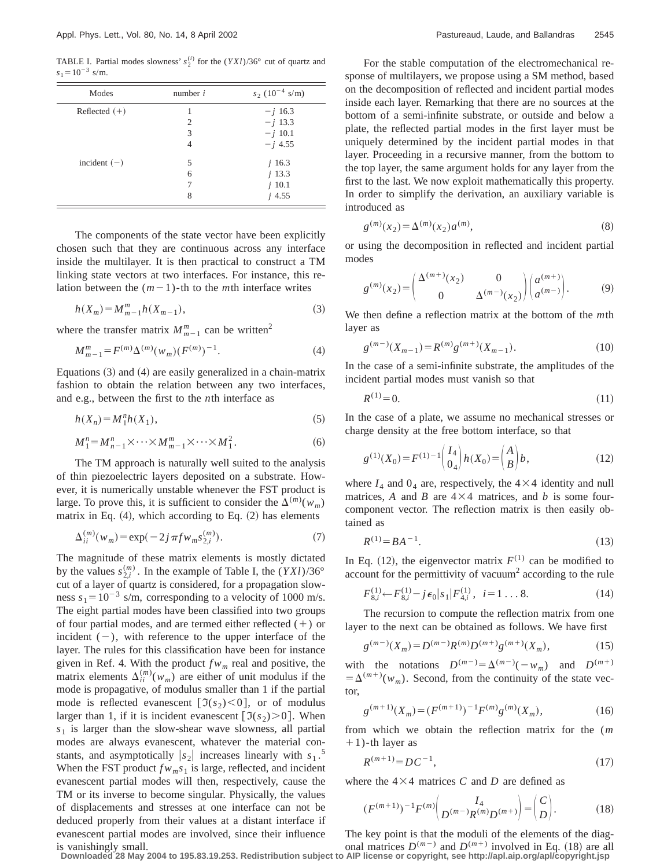TABLE I. Partial modes slowness'  $s_2^{(i)}$  for the  $(YXI)/36^\circ$  cut of quartz and  $s_1 = 10^{-3}$  s/m.

| Modes           | number $i$ | $s_2$ (10 <sup>-4</sup> s/m) |
|-----------------|------------|------------------------------|
| Reflected $(+)$ |            | $- j 16.3$                   |
|                 | 2          | $-j$ 13.3                    |
|                 | 3          | $- j 10.1$                   |
|                 | 4          | $-i$ 4.55                    |
| incident $(-)$  | 5          | $j$ 16.3                     |
|                 | 6          | $j$ 13.3                     |
|                 |            | $j$ 10.1                     |
|                 | 8          | $i$ 4.55                     |

The components of the state vector have been explicitly chosen such that they are continuous across any interface inside the multilayer. It is then practical to construct a TM linking state vectors at two interfaces. For instance, this relation between the  $(m-1)$ -th to the *m*th interface writes

$$
h(X_m) = M_{m-1}^m h(X_{m-1}),
$$
\n(3)

where the transfer matrix  $M_{m-1}^m$  can be written<sup>2</sup>

$$
M_{m-1}^{m} = F^{(m)} \Delta^{(m)}(w_m) (F^{(m)})^{-1}.
$$
 (4)

Equations  $(3)$  and  $(4)$  are easily generalized in a chain-matrix fashion to obtain the relation between any two interfaces, and e.g., between the first to the *n*th interface as

$$
h(X_n) = M_1^n h(X_1),\tag{5}
$$

$$
M_1^n = M_{n-1}^n \times \cdots \times M_{m-1}^m \times \cdots \times M_1^2. \tag{6}
$$

The TM approach is naturally well suited to the analysis of thin piezoelectric layers deposited on a substrate. However, it is numerically unstable whenever the FST product is large. To prove this, it is sufficient to consider the  $\Delta^{(m)}(w_m)$ matrix in Eq.  $(4)$ , which according to Eq.  $(2)$  has elements

$$
\Delta_{ii}^{(m)}(w_m) = \exp(-2j\pi f w_m s_{2,i}^{(m)}).
$$
 (7)

The magnitude of these matrix elements is mostly dictated by the values  $s_{2,i}^{(m)}$ . In the example of Table I, the  $(YXI)/36^{\circ}$ cut of a layer of quartz is considered, for a propagation slowness  $s_1 = 10^{-3}$  s/m, corresponding to a velocity of 1000 m/s. The eight partial modes have been classified into two groups of four partial modes, and are termed either reflected  $(+)$  or incident  $(-)$ , with reference to the upper interface of the layer. The rules for this classification have been for instance given in Ref. 4. With the product  $f_{w_m}$  real and positive, the matrix elements  $\Delta_{ii}^{(m)}(w_m)$  are either of unit modulus if the mode is propagative, of modulus smaller than 1 if the partial mode is reflected evanescent  $\lceil \mathfrak{I}(s_2) \leq 0 \rceil$ , or of modulus larger than 1, if it is incident evanescent  $[\mathfrak{I}(s_2) > 0]$ . When  $s<sub>1</sub>$  is larger than the slow-shear wave slowness, all partial modes are always evanescent, whatever the material constants, and asymptotically  $|s_2|$  increases linearly with  $s_1$ .<sup>5</sup> When the FST product  $f w_m s_1$  is large, reflected, and incident evanescent partial modes will then, respectively, cause the TM or its inverse to become singular. Physically, the values of displacements and stresses at one interface can not be deduced properly from their values at a distant interface if evanescent partial modes are involved, since their influence is vanishingly small.

For the stable computation of the electromechanical response of multilayers, we propose using a SM method, based on the decomposition of reflected and incident partial modes inside each layer. Remarking that there are no sources at the bottom of a semi-infinite substrate, or outside and below a plate, the reflected partial modes in the first layer must be uniquely determined by the incident partial modes in that layer. Proceeding in a recursive manner, from the bottom to the top layer, the same argument holds for any layer from the first to the last. We now exploit mathematically this property. In order to simplify the derivation, an auxiliary variable is introduced as

$$
g^{(m)}(x_2) = \Delta^{(m)}(x_2) a^{(m)},
$$
\n(8)

or using the decomposition in reflected and incident partial modes

$$
g^{(m)}(x_2) = \begin{pmatrix} \Delta^{(m+)}(x_2) & 0 \\ 0 & \Delta^{(m-)}(x_2) \end{pmatrix} \begin{pmatrix} a^{(m+)} \\ a^{(m-)} \end{pmatrix}.
$$
 (9)

We then define a reflection matrix at the bottom of the *m*th layer as

$$
g^{(m-)}(X_{m-1}) = R^{(m)}g^{(m+)}(X_{m-1}).
$$
\n(10)

In the case of a semi-infinite substrate, the amplitudes of the incident partial modes must vanish so that

$$
R^{(1)} = 0.\t(11)
$$

In the case of a plate, we assume no mechanical stresses or charge density at the free bottom interface, so that

$$
g^{(1)}(X_0) = F^{(1)-1} \begin{pmatrix} I_4 \\ 0_4 \end{pmatrix} h(X_0) = \begin{pmatrix} A \\ B \end{pmatrix} b,\tag{12}
$$

where  $I_4$  and  $0_4$  are, respectively, the  $4 \times 4$  identity and null matrices, A and B are  $4 \times 4$  matrices, and b is some fourcomponent vector. The reflection matrix is then easily obtained as

$$
R^{(1)} = BA^{-1}.
$$
\n(13)

In Eq. (12), the eigenvector matrix  $F^{(1)}$  can be modified to account for the permittivity of vacuum<sup>2</sup> according to the rule

$$
F_{8,i}^{(1)} \leftarrow F_{8,i}^{(1)} - j\epsilon_0 |s_1| F_{4,i}^{(1)}, \ \ i = 1 \dots 8. \tag{14}
$$

The recursion to compute the reflection matrix from one layer to the next can be obtained as follows. We have first

$$
g^{(m-)}(X_m) = D^{(m-)}R^{(m)}D^{(m+)}g^{(m+)}(X_m),
$$
\n(15)

with the notations  $D^{(m-)} = \Delta^{(m-)}(-w_m)$  and  $D^{(m+)}$  $= \Delta^{(m+)}(w_m)$ . Second, from the continuity of the state vector,

$$
g^{(m+1)}(X_m) = (F^{(m+1)})^{-1} F^{(m)} g^{(m)}(X_m), \tag{16}
$$

from which we obtain the reflection matrix for the (*m*  $+1$ )-th layer as

$$
R^{(m+1)} = DC^{-1},\tag{17}
$$

where the  $4\times4$  matrices *C* and *D* are defined as

$$
(F^{(m+1)})^{-1}F^{(m)}\binom{I_4}{D^{(m-)}R^{(m)}D^{(m+)}} = \binom{C}{D}.
$$
 (18)

The key point is that the moduli of the elements of the diagonal matrices  $D^{(m)}$  and  $D^{(m+)}$  involved in Eq. (18) are all

**Downloaded 28 May 2004 to 195.83.19.253. Redistribution subject to AIP license or copyright, see http://apl.aip.org/apl/copyright.jsp**